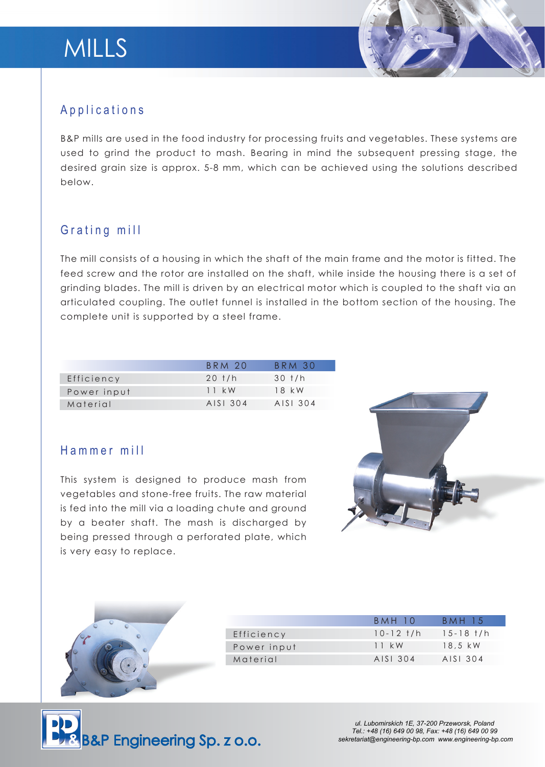

## Applications

B&P mills are used in the food industry for processing fruits and vegetables. These systems are used to grind the product to mash. Bearing in mind the subsequent pressing stage, the desired grain size is approx. 5-8 mm, which can be achieved using the solutions described below.

## Grating mill

The mill consists of a housing in which the shaft of the main frame and the motor is fitted. The feed screw and the rotor are installed on the shaft, while inside the housing there is a set of grinding blades. The mill is driven by an electrical motor which is coupled to the shaft via an articulated coupling. The outlet funnel is installed in the bottom section of the housing. The complete unit is supported by a steel frame.

|             | BRM 20        | BRM 30             |
|-------------|---------------|--------------------|
| Efficiency  | $20$ t/h      | $30$ $\frac{1}{h}$ |
| Power input | $11 \cdot$ kW | $18$ kW            |
| Material    | AISI 304      | AISI 304           |

### Hammer mill

This system is designed to produce mash from vegetables and stone-free fruits. The raw material is fed into the mill via a loading chute and ground by a beater shaft. The mash is discharged by being pressed through a perforated plate, which is very easy to replace.





|             | BMH 10          | <b>BMH 15</b>   |
|-------------|-----------------|-----------------|
| Efficiency  | $10 - 12$ $t/h$ | $15 - 18$ $t/h$ |
| Power input | $11 \cdot$ kW   | 18.5 kW         |
| Material    | AISI 304        | AISI 304        |